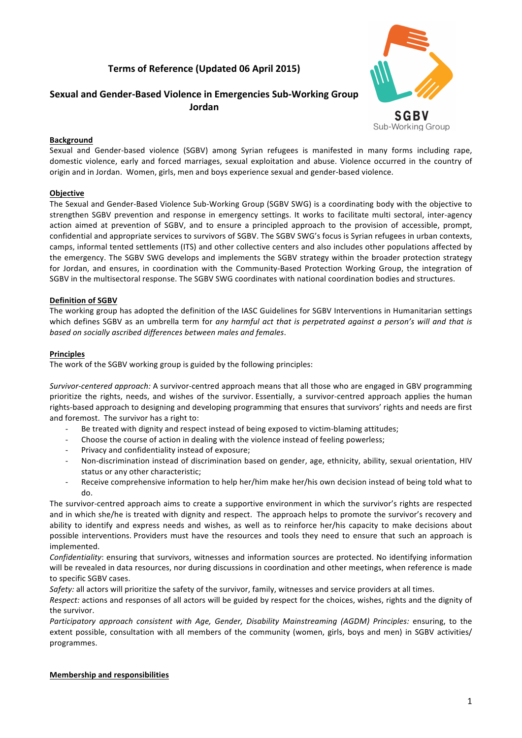# **Terms of Reference (Updated 06 April 2015)**



Sub-Working Group

**Sexual and Gender-Based Violence in Emergencies Sub-Working Group Jordan**

### **Background**

Sexual and Gender-based violence (SGBV) among Syrian refugees is manifested in many forms including rape, domestic violence, early and forced marriages, sexual exploitation and abuse. Violence occurred in the country of origin and in Jordan. Women, girls, men and boys experience sexual and gender-based violence.

### **Objective**

The Sexual and Gender-Based Violence Sub-Working Group (SGBV SWG) is a coordinating body with the objective to strengthen SGBV prevention and response in emergency settings. It works to facilitate multi sectoral, inter-agency action aimed at prevention of SGBV, and to ensure a principled approach to the provision of accessible, prompt, confidential and appropriate services to survivors of SGBV. The SGBV SWG's focus is Syrian refugees in urban contexts, camps, informal tented settlements (ITS) and other collective centers and also includes other populations affected by the emergency. The SGBV SWG develops and implements the SGBV strategy within the broader protection strategy for Jordan, and ensures, in coordination with the Community-Based Protection Working Group, the integration of SGBV in the multisectoral response. The SGBV SWG coordinates with national coordination bodies and structures.

#### **Definition of SGBV**

The working group has adopted the definition of the IASC Guidelines for SGBV Interventions in Humanitarian settings which defines SGBV as an umbrella term for *any harmful act that is perpetrated against a person's will and that is based on socially ascribed differences between males and females*.

#### **Principles**

The work of the SGBV working group is guided by the following principles:

*Survivor-centered approach:* A survivor-centred approach means that all those who are engaged in GBV programming prioritize the rights, needs, and wishes of the survivor. Essentially, a survivor-centred approach applies the human rights-based approach to designing and developing programming that ensures that survivors' rights and needs are first and foremost. The survivor has a right to:

- Be treated with dignity and respect instead of being exposed to victim-blaming attitudes;
- Choose the course of action in dealing with the violence instead of feeling powerless;
- Privacy and confidentiality instead of exposure:
- Non-discrimination instead of discrimination based on gender, age, ethnicity, ability, sexual orientation, HIV status or any other characteristic;
- Receive comprehensive information to help her/him make her/his own decision instead of being told what to do.

The survivor-centred approach aims to create a supportive environment in which the survivor's rights are respected and in which she/he is treated with dignity and respect. The approach helps to promote the survivor's recovery and ability to identify and express needs and wishes, as well as to reinforce her/his capacity to make decisions about possible interventions. Providers must have the resources and tools they need to ensure that such an approach is implemented.

*Confidentiality*: ensuring that survivors, witnesses and information sources are protected. No identifying information will be revealed in data resources, nor during discussions in coordination and other meetings, when reference is made to specific SGBV cases.

*Safety:* all actors will prioritize the safety of the survivor, family, witnesses and service providers at all times.

*Respect:* actions and responses of all actors will be guided by respect for the choices, wishes, rights and the dignity of the survivor.

*Participatory approach consistent with Age, Gender, Disability Mainstreaming (AGDM) Principles:* ensuring, to the extent possible, consultation with all members of the community (women, girls, boys and men) in SGBV activities/ programmes.

#### **Membership and responsibilities**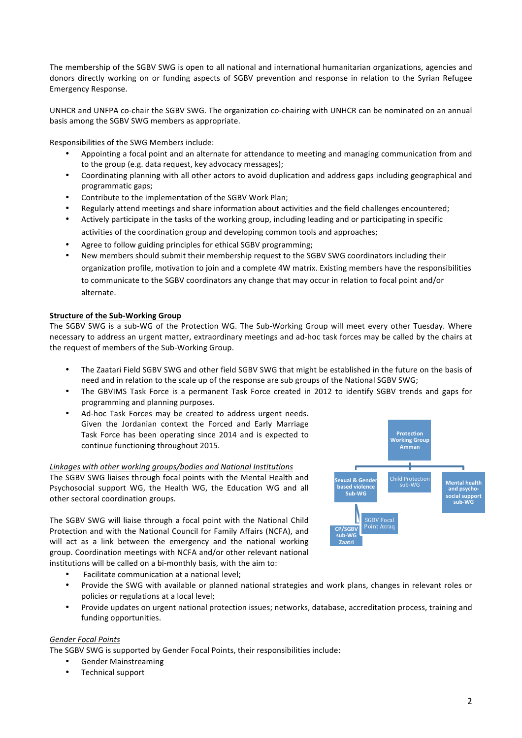The membership of the SGBV SWG is open to all national and international humanitarian organizations, agencies and donors directly working on or funding aspects of SGBV prevention and response in relation to the Syrian Refugee Emergency Response.

UNHCR and UNFPA co-chair the SGBV SWG. The organization co-chairing with UNHCR can be nominated on an annual basis among the SGBV SWG members as appropriate.

Responsibilities of the SWG Members include:

- Appointing a focal point and an alternate for attendance to meeting and managing communication from and to the group (e.g. data request, key advocacy messages);
- Coordinating planning with all other actors to avoid duplication and address gaps including geographical and programmatic gaps;
- Contribute to the implementation of the SGBV Work Plan;
- Regularly attend meetings and share information about activities and the field challenges encountered;
- Actively participate in the tasks of the working group, including leading and or participating in specific activities of the coordination group and developing common tools and approaches;
- Agree to follow guiding principles for ethical SGBV programming;
- New members should submit their membership request to the SGBV SWG coordinators including their organization profile, motivation to join and a complete 4W matrix. Existing members have the responsibilities to communicate to the SGBV coordinators any change that may occur in relation to focal point and/or alternate.

### **Structure of the Sub-Working Group**

The SGBV SWG is a sub-WG of the Protection WG. The Sub-Working Group will meet every other Tuesday. Where necessary to address an urgent matter, extraordinary meetings and ad-hoc task forces may be called by the chairs at the request of members of the Sub-Working Group.

- The Zaatari Field SGBV SWG and other field SGBV SWG that might be established in the future on the basis of need and in relation to the scale up of the response are sub groups of the National SGBV SWG;
- The GBVIMS Task Force is a permanent Task Force created in 2012 to identify SGBV trends and gaps for programming and planning purposes.
- Ad-hoc Task Forces may be created to address urgent needs. Given the Jordanian context the Forced and Early Marriage Task Force has been operating since 2014 and is expected to continue functioning throughout 2015.

### *Linkages with other working groups/bodies and National Institutions*

The SGBV SWG liaises through focal points with the Mental Health and Psychosocial support WG, the Health WG, the Education WG and all other sectoral coordination groups.

The SGBV SWG will liaise through a focal point with the National Child Protection and with the National Council for Family Affairs (NCFA), and will act as a link between the emergency and the national working group. Coordination meetings with NCFA and/or other relevant national institutions will be called on a bi-monthly basis, with the aim to:

- Facilitate communication at a national level:
- Provide the SWG with available or planned national strategies and work plans, changes in relevant roles or policies or regulations at a local level;
- Provide updates on urgent national protection issues; networks, database, accreditation process, training and funding opportunities.

### *Gender Focal Points*

The SGBV SWG is supported by Gender Focal Points, their responsibilities include:

- Gender Mainstreaming
- Technical support

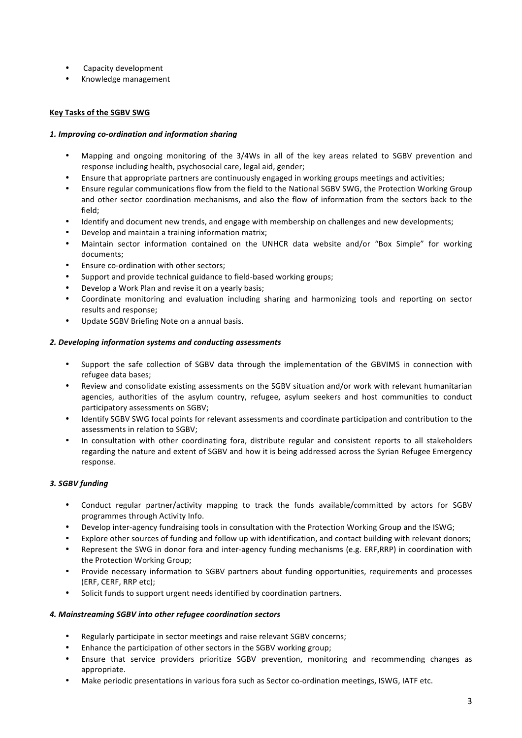- Capacity development
- Knowledge management

## **Key Tasks of the SGBV SWG**

### *1. Improving co-ordination and information sharing*

- Mapping and ongoing monitoring of the 3/4Ws in all of the key areas related to SGBV prevention and response including health, psychosocial care, legal aid, gender;
- Ensure that appropriate partners are continuously engaged in working groups meetings and activities;
- Ensure regular communications flow from the field to the National SGBV SWG, the Protection Working Group and other sector coordination mechanisms, and also the flow of information from the sectors back to the field;
- Identify and document new trends, and engage with membership on challenges and new developments;
- Develop and maintain a training information matrix;
- Maintain sector information contained on the UNHCR data website and/or "Box Simple" for working documents;
- Ensure co-ordination with other sectors:
- Support and provide technical guidance to field-based working groups;
- Develop a Work Plan and revise it on a yearly basis;
- Coordinate monitoring and evaluation including sharing and harmonizing tools and reporting on sector results and response;
- Update SGBV Briefing Note on a annual basis.

### *2. Developing information systems and conducting assessments*

- Support the safe collection of SGBV data through the implementation of the GBVIMS in connection with refugee data bases;
- Review and consolidate existing assessments on the SGBV situation and/or work with relevant humanitarian agencies, authorities of the asylum country, refugee, asylum seekers and host communities to conduct participatory assessments on SGBV;
- Identify SGBV SWG focal points for relevant assessments and coordinate participation and contribution to the assessments in relation to SGBV;
- In consultation with other coordinating fora, distribute regular and consistent reports to all stakeholders regarding the nature and extent of SGBV and how it is being addressed across the Syrian Refugee Emergency response.

# *3. SGBV funding*

- Conduct regular partner/activity mapping to track the funds available/committed by actors for SGBV programmes through Activity Info.
- Develop inter-agency fundraising tools in consultation with the Protection Working Group and the ISWG;
- Explore other sources of funding and follow up with identification, and contact building with relevant donors;
- Represent the SWG in donor fora and inter-agency funding mechanisms (e.g. ERF,RRP) in coordination with the Protection Working Group;
- Provide necessary information to SGBV partners about funding opportunities, requirements and processes (ERF, CERF, RRP etc);
- Solicit funds to support urgent needs identified by coordination partners.

# *4. Mainstreaming SGBV into other refugee coordination sectors*

- Regularly participate in sector meetings and raise relevant SGBV concerns;
- Enhance the participation of other sectors in the SGBV working group;
- Ensure that service providers prioritize SGBV prevention, monitoring and recommending changes as appropriate.
- Make periodic presentations in various fora such as Sector co-ordination meetings, ISWG, IATF etc.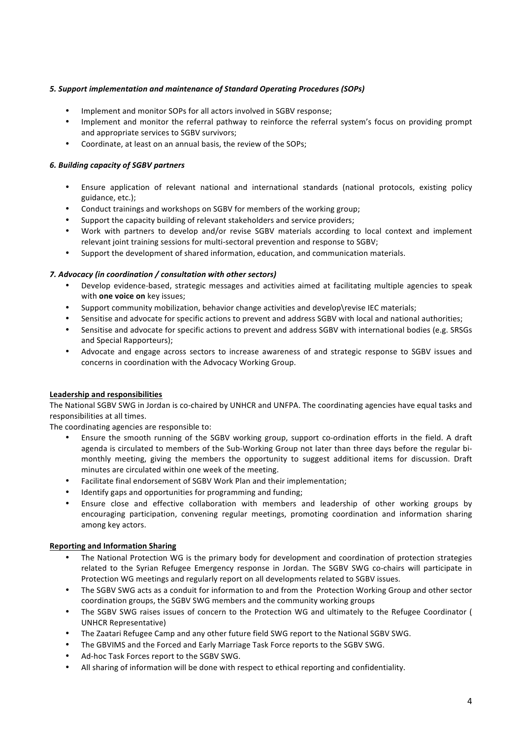# 5. Support implementation and maintenance of Standard Operating Procedures (SOPs)

- Implement and monitor SOPs for all actors involved in SGBV response;
- Implement and monitor the referral pathway to reinforce the referral system's focus on providing prompt and appropriate services to SGBV survivors;
- Coordinate, at least on an annual basis, the review of the SOPs;

### *6. Building capacity of SGBV partners*

- Ensure application of relevant national and international standards (national protocols, existing policy guidance, etc.);
- Conduct trainings and workshops on SGBV for members of the working group;
- Support the capacity building of relevant stakeholders and service providers;
- Work with partners to develop and/or revise SGBV materials according to local context and implement relevant joint training sessions for multi-sectoral prevention and response to SGBV;
- Support the development of shared information, education, and communication materials.

### *7. Advocacy (in coordination / consultation with other sectors)*

- Develop evidence-based, strategic messages and activities aimed at facilitating multiple agencies to speak with **one voice on** key issues;
- Support community mobilization, behavior change activities and develop\revise IEC materials;
- Sensitise and advocate for specific actions to prevent and address SGBV with local and national authorities;
- Sensitise and advocate for specific actions to prevent and address SGBV with international bodies (e.g. SRSGs) and Special Rapporteurs);
- Advocate and engage across sectors to increase awareness of and strategic response to SGBV issues and concerns in coordination with the Advocacy Working Group.

### **Leadership and responsibilities**

The National SGBV SWG in Jordan is co-chaired by UNHCR and UNFPA. The coordinating agencies have equal tasks and responsibilities at all times.

The coordinating agencies are responsible to:

- Ensure the smooth running of the SGBV working group, support co-ordination efforts in the field. A draft agenda is circulated to members of the Sub-Working Group not later than three days before the regular bimonthly meeting, giving the members the opportunity to suggest additional items for discussion. Draft minutes are circulated within one week of the meeting.
- Facilitate final endorsement of SGBV Work Plan and their implementation;
- Identify gaps and opportunities for programming and funding;
- Ensure close and effective collaboration with members and leadership of other working groups by encouraging participation, convening regular meetings, promoting coordination and information sharing among key actors.

### **Reporting and Information Sharing**

- The National Protection WG is the primary body for development and coordination of protection strategies related to the Syrian Refugee Emergency response in Jordan. The SGBV SWG co-chairs will participate in Protection WG meetings and regularly report on all developments related to SGBV issues.
- The SGBV SWG acts as a conduit for information to and from the Protection Working Group and other sector coordination groups, the SGBV SWG members and the community working groups
- The SGBV SWG raises issues of concern to the Protection WG and ultimately to the Refugee Coordinator ( UNHCR Representative)
- The Zaatari Refugee Camp and any other future field SWG report to the National SGBV SWG.
- The GBVIMS and the Forced and Early Marriage Task Force reports to the SGBV SWG.
- Ad-hoc Task Forces report to the SGBV SWG.
- All sharing of information will be done with respect to ethical reporting and confidentiality.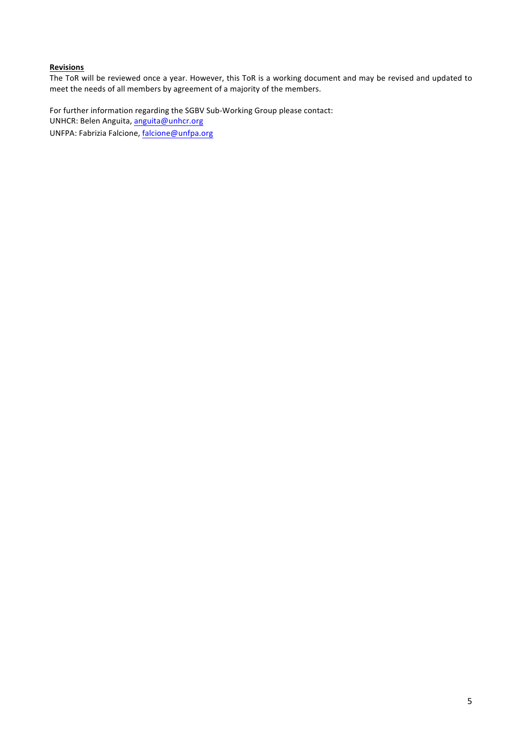### **Revisions**

The ToR will be reviewed once a year. However, this ToR is a working document and may be revised and updated to meet the needs of all members by agreement of a majority of the members.

For further information regarding the SGBV Sub-Working Group please contact: UNHCR: Belen Anguita, anguita@unhcr.org UNFPA: Fabrizia Falcione, falcione@unfpa.org